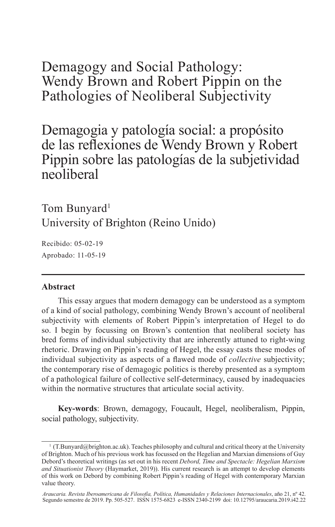Demagogy and Social Pathology: Wendy Brown and Robert Pippin on the Pathologies of Neoliberal Subjectivity

Demagogia y patología social: a propósito de las reflexiones de Wendy Brown y Robert Pippin sobre las patologías de la subjetividad neoliberal

Tom Bunyard<sup>1</sup> University of Brighton (Reino Unido)

Recibido: 05-02-19 Aprobado: 11-05-19

#### **Abstract**

This essay argues that modern demagogy can be understood as a symptom of a kind of social pathology, combining Wendy Brown's account of neoliberal subjectivity with elements of Robert Pippin's interpretation of Hegel to do so. I begin by focussing on Brown's contention that neoliberal society has bred forms of individual subjectivity that are inherently attuned to right-wing rhetoric. Drawing on Pippin's reading of Hegel, the essay casts these modes of individual subjectivity as aspects of a flawed mode of *collective* subjectivity; the contemporary rise of demagogic politics is thereby presented as a symptom of a pathological failure of collective self-determinacy, caused by inadequacies within the normative structures that articulate social activity.

**Key-words**: Brown, demagogy, Foucault, Hegel, neoliberalism, Pippin, social pathology, subjectivity.

<sup>&</sup>lt;sup>1</sup> (T.Bunyard@brighton.ac.uk). Teaches philosophy and cultural and critical theory at the University of Brighton. Much of his previous work has focussed on the Hegelian and Marxian dimensions of Guy Debord's theoretical writings (as set out in his recent *Debord, Time and Spectacle: Hegelian Marxism and Situationist Theory* (Haymarket, 2019)). His current research is an attempt to develop elements of this work on Debord by combining Robert Pippin's reading of Hegel with contemporary Marxian value theory.

*Araucaria. Revista Iberoamericana de Filosofía, Política, Humanidades y Relaciones Internacionales*, año 21, nº 42. Segundo semestre de 2019. Pp. 505-527. ISSN 1575-6823 e-ISSN 2340-2199 doi: 10.12795/araucaria.2019.i42.22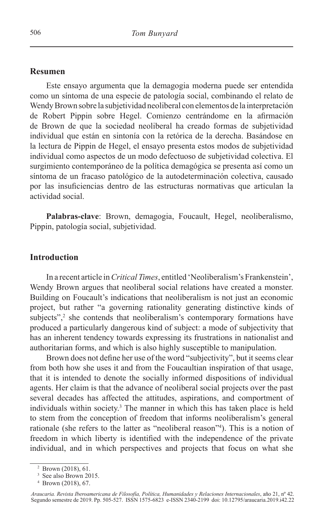#### **Resumen**

Este ensayo argumenta que la demagogia moderna puede ser entendida como un síntoma de una especie de patología social, combinando el relato de Wendy Brown sobre la subjetividad neoliberal con elementos de la interpretación de Robert Pippin sobre Hegel. Comienzo centrándome en la afirmación de Brown de que la sociedad neoliberal ha creado formas de subjetividad individual que están en sintonía con la retórica de la derecha. Basándose en la lectura de Pippin de Hegel, el ensayo presenta estos modos de subjetividad individual como aspectos de un modo defectuoso de subjetividad colectiva. El surgimiento contemporáneo de la política demagógica se presenta así como un síntoma de un fracaso patológico de la autodeterminación colectiva, causado por las insuficiencias dentro de las estructuras normativas que articulan la actividad social.

**Palabras-clave**: Brown, demagogia, Foucault, Hegel, neoliberalismo, Pippin, patología social, subjetividad.

## **Introduction**

In a recent article in *Critical Times*, entitled 'Neoliberalism's Frankenstein', Wendy Brown argues that neoliberal social relations have created a monster. Building on Foucault's indications that neoliberalism is not just an economic project, but rather "a governing rationality generating distinctive kinds of subjects",<sup>2</sup> she contends that neoliberalism's contemporary formations have produced a particularly dangerous kind of subject: a mode of subjectivity that has an inherent tendency towards expressing its frustrations in nationalist and authoritarian forms, and which is also highly susceptible to manipulation.

Brown does not define her use of the word "subjectivity", but it seems clear from both how she uses it and from the Foucaultian inspiration of that usage, that it is intended to denote the socially informed dispositions of individual agents. Her claim is that the advance of neoliberal social projects over the past several decades has affected the attitudes, aspirations, and comportment of individuals within society.3 The manner in which this has taken place is held to stem from the conception of freedom that informs neoliberalism's general rationale (she refers to the latter as "neoliberal reason"4 ). This is a notion of freedom in which liberty is identified with the independence of the private individual, and in which perspectives and projects that focus on what she

<sup>2</sup> Brown (2018), 61.

<sup>&</sup>lt;sup>3</sup> See also Brown 2015.

<sup>4</sup> Brown (2018), 67.

*Araucaria. Revista Iberoamericana de Filosofía, Política, Humanidades y Relaciones Internacionales*, año 21, nº 42. Segundo semestre de 2019. Pp. 505-527. ISSN 1575-6823 e-ISSN 2340-2199 doi: 10.12795/araucaria.2019.i42.22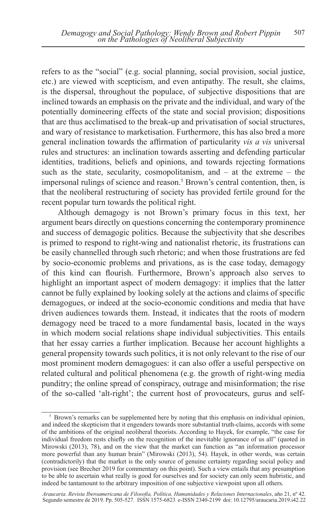refers to as the "social" (e.g. social planning, social provision, social justice, etc.) are viewed with scepticism, and even antipathy. The result, she claims, is the dispersal, throughout the populace, of subjective dispositions that are inclined towards an emphasis on the private and the individual, and wary of the potentially domineering effects of the state and social provision; dispositions that are thus acclimatised to the break-up and privatisation of social structures, and wary of resistance to marketisation. Furthermore, this has also bred a more general inclination towards the affirmation of particularity *vis a vis* universal rules and structures: an inclination towards asserting and defending particular identities, traditions, beliefs and opinions, and towards rejecting formations such as the state, secularity, cosmopolitanism, and  $-$  at the extreme  $-$  the impersonal rulings of science and reason.<sup>5</sup> Brown's central contention, then, is that the neoliberal restructuring of society has provided fertile ground for the recent popular turn towards the political right.

Although demagogy is not Brown's primary focus in this text, her argument bears directly on questions concerning the contemporary prominence and success of demagogic politics. Because the subjectivity that she describes is primed to respond to right-wing and nationalist rhetoric, its frustrations can be easily channelled through such rhetoric; and when those frustrations are fed by socio-economic problems and privations, as is the case today, demagogy of this kind can flourish. Furthermore, Brown's approach also serves to highlight an important aspect of modern demagogy: it implies that the latter cannot be fully explained by looking solely at the actions and claims of specific demagogues, or indeed at the socio-economic conditions and media that have driven audiences towards them. Instead, it indicates that the roots of modern demagogy need be traced to a more fundamental basis, located in the ways in which modern social relations shape individual subjectivities. This entails that her essay carries a further implication. Because her account highlights a general propensity towards such politics, it is not only relevant to the rise of our most prominent modern demagogues: it can also offer a useful perspective on related cultural and political phenomena (e.g. the growth of right-wing media punditry; the online spread of conspiracy, outrage and misinformation; the rise of the so-called 'alt-right'; the current host of provocateurs, gurus and self-

<sup>&</sup>lt;sup>5</sup> Brown's remarks can be supplemented here by noting that this emphasis on individual opinion, and indeed the skepticism that it engenders towards more substantial truth-claims, accords with some of the ambitions of the original neoliberal theorists. According to Hayek, for example, "the case for individual freedom rests chiefly on the recognition of the inevitable ignorance of us all" (quoted in Mirowski (2013), 78), and on the view that the market can function as "an information processor more powerful than any human brain" (Mirowski (2013), 54). Hayek, in other words, was certain (contradictorily) that the market is the only source of genuine certainty regarding social policy and provision (see Brecher 2019 for commentary on this point). Such a view entails that any presumption to be able to ascertain what really is good for ourselves and for society can only seem hubristic, and indeed be tantamount to the arbitrary imposition of one subjective viewpoint upon all others.

*Araucaria. Revista Iberoamericana de Filosofía, Política, Humanidades y Relaciones Internacionales*, año 21, nº 42. Segundo semestre de 2019. Pp. 505-527. ISSN 1575-6823 e-ISSN 2340-2199 doi: 10.12795/araucaria.2019.i42.22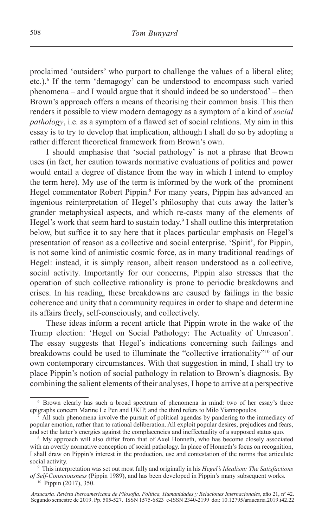proclaimed 'outsiders' who purport to challenge the values of a liberal elite; etc.).6 If the term 'demagogy' can be understood to encompass such varied phenomena – and I would argue that it should indeed be so understood<sup>7</sup> – then Brown's approach offers a means of theorising their common basis. This then renders it possible to view modern demagogy as a symptom of a kind of *social pathology*, i.e. as a symptom of a flawed set of social relations. My aim in this essay is to try to develop that implication, although I shall do so by adopting a rather different theoretical framework from Brown's own.

I should emphasise that 'social pathology' is not a phrase that Brown uses (in fact, her caution towards normative evaluations of politics and power would entail a degree of distance from the way in which I intend to employ the term here). My use of the term is informed by the work of the prominent Hegel commentator Robert Pippin.<sup>8</sup> For many years, Pippin has advanced an ingenious reinterpretation of Hegel's philosophy that cuts away the latter's grander metaphysical aspects, and which re-casts many of the elements of Hegel's work that seem hard to sustain today.<sup>9</sup> I shall outline this interpretation below, but suffice it to say here that it places particular emphasis on Hegel's presentation of reason as a collective and social enterprise. 'Spirit', for Pippin, is not some kind of animistic cosmic force, as in many traditional readings of Hegel: instead, it is simply reason, albeit reason understood as a collective, social activity. Importantly for our concerns, Pippin also stresses that the operation of such collective rationality is prone to periodic breakdowns and crises. In his reading, these breakdowns are caused by failings in the basic coherence and unity that a community requires in order to shape and determine its affairs freely, self-consciously, and collectively.

These ideas inform a recent article that Pippin wrote in the wake of the Trump election: 'Hegel on Social Pathology: The Actuality of Unreason'. The essay suggests that Hegel's indications concerning such failings and breakdowns could be used to illuminate the "collective irrationality"10 of our own contemporary circumstances. With that suggestion in mind, I shall try to place Pippin's notion of social pathology in relation to Brown's diagnosis. By combining the salient elements of their analyses, I hope to arrive at a perspective

<sup>6</sup> Brown clearly has such a broad spectrum of phenomena in mind: two of her essay's three epigraphs concern Marine Le Pen and UKIP, and the third refers to Milo Yiannopoulos.

All such phenomena involve the pursuit of political agendas by pandering to the immediacy of popular emotion, rather than to rational deliberation. All exploit popular desires, prejudices and fears, and set the latter's energies against the complacencies and ineffectuality of a supposed status quo.

<sup>&</sup>lt;sup>8</sup> My approach will also differ from that of Axel Honneth, who has become closely associated with an overtly normative conception of social pathology. In place of Honneth's focus on recognition, I shall draw on Pippin's interest in the production, use and contestation of the norms that articulate social activity.

<sup>9</sup> This interpretation was set out most fully and originally in his *Hegel's Idealism: The Satisfactions of Self-Consciousness* (Pippin 1989), and has been developed in Pippin's many subsequent works.

<sup>10</sup> Pippin (2017), 350.

*Araucaria. Revista Iberoamericana de Filosofía, Política, Humanidades y Relaciones Internacionales*, año 21, nº 42. Segundo semestre de 2019. Pp. 505-527. ISSN 1575-6823 e-ISSN 2340-2199 doi: 10.12795/araucaria.2019.i42.22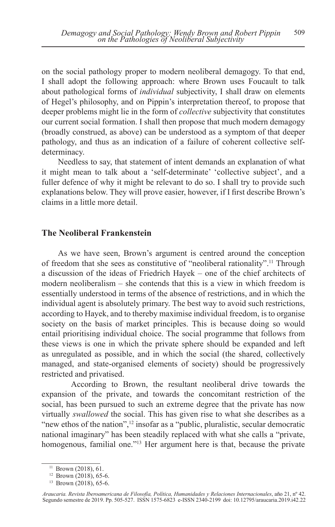on the social pathology proper to modern neoliberal demagogy. To that end, I shall adopt the following approach: where Brown uses Foucault to talk about pathological forms of *individual* subjectivity, I shall draw on elements of Hegel's philosophy, and on Pippin's interpretation thereof, to propose that deeper problems might lie in the form of *collective* subjectivity that constitutes our current social formation. I shall then propose that much modern demagogy (broadly construed, as above) can be understood as a symptom of that deeper pathology, and thus as an indication of a failure of coherent collective selfdeterminacy.

Needless to say, that statement of intent demands an explanation of what it might mean to talk about a 'self-determinate' 'collective subject', and a fuller defence of why it might be relevant to do so. I shall try to provide such explanations below. They will prove easier, however, if I first describe Brown's claims in a little more detail.

### **The Neoliberal Frankenstein**

As we have seen, Brown's argument is centred around the conception of freedom that she sees as constitutive of "neoliberal rationality".11 Through a discussion of the ideas of Friedrich Hayek – one of the chief architects of modern neoliberalism – she contends that this is a view in which freedom is essentially understood in terms of the absence of restrictions, and in which the individual agent is absolutely primary. The best way to avoid such restrictions, according to Hayek, and to thereby maximise individual freedom, is to organise society on the basis of market principles. This is because doing so would entail prioritising individual choice. The social programme that follows from these views is one in which the private sphere should be expanded and left as unregulated as possible, and in which the social (the shared, collectively managed, and state-organised elements of society) should be progressively restricted and privatised.

According to Brown, the resultant neoliberal drive towards the expansion of the private, and towards the concomitant restriction of the social, has been pursued to such an extreme degree that the private has now virtually *swallowed* the social. This has given rise to what she describes as a "new ethos of the nation",<sup>12</sup> insofar as a "public, pluralistic, secular democratic national imaginary" has been steadily replaced with what she calls a "private, homogenous, familial one."13 Her argument here is that, because the private

 $11$  Brown (2018), 61.

<sup>&</sup>lt;sup>12</sup> Brown (2018), 65-6.

<sup>13</sup> Brown (2018), 65-6.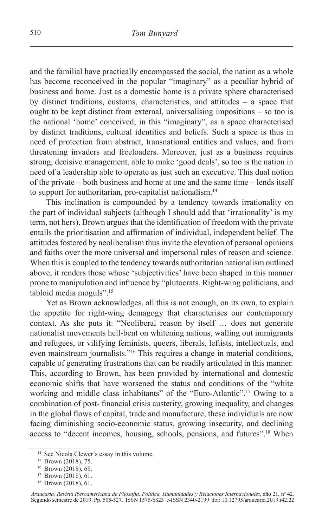and the familial have practically encompassed the social, the nation as a whole has become reconceived in the popular "imaginary" as a peculiar hybrid of business and home. Just as a domestic home is a private sphere characterised by distinct traditions, customs, characteristics, and attitudes – a space that ought to be kept distinct from external, universalising impositions – so too is the national 'home' conceived, in this "imaginary", as a space characterised by distinct traditions, cultural identities and beliefs. Such a space is thus in need of protection from abstract, transnational entities and values, and from threatening invaders and freeloaders. Moreover, just as a business requires strong, decisive management, able to make 'good deals', so too is the nation in need of a leadership able to operate as just such an executive. This dual notion of the private – both business and home at one and the same time – lends itself to support for authoritarian, pro-capitalist nationalism.<sup>14</sup>

This inclination is compounded by a tendency towards irrationality on the part of individual subjects (although I should add that 'irrationality' is my term, not hers). Brown argues that the identification of freedom with the private entails the prioritisation and affirmation of individual, independent belief. The attitudes fostered by neoliberalism thus invite the elevation of personal opinions and faiths over the more universal and impersonal rules of reason and science. When this is coupled to the tendency towards authoritarian nationalism outlined above, it renders those whose 'subjectivities' have been shaped in this manner prone to manipulation and influence by "plutocrats, Right-wing politicians, and tabloid media moguls".15

Yet as Brown acknowledges, all this is not enough, on its own, to explain the appetite for right-wing demagogy that characterises our contemporary context. As she puts it: "Neoliberal reason by itself … does not generate nationalist movements hell-bent on whitening nations, walling out immigrants and refugees, or vilifying feminists, queers, liberals, leftists, intellectuals, and even mainstream journalists."16 This requires a change in material conditions, capable of generating frustrations that can be readily articulated in this manner. This, according to Brown, has been provided by international and domestic economic shifts that have worsened the status and conditions of the "white working and middle class inhabitants" of the "Euro-Atlantic".<sup>17</sup> Owing to a combination of post- financial crisis austerity, growing inequality, and changes in the global flows of capital, trade and manufacture, these individuals are now facing diminishing socio-economic status, growing insecurity, and declining access to "decent incomes, housing, schools, pensions, and futures".18 When

<sup>&</sup>lt;sup>14</sup> See Nicola Clewer's essay in this volume.

<sup>15</sup> Brown (2018), 75.

<sup>16</sup> Brown (2018), 68.

<sup>17</sup> Brown (2018), 61.

<sup>18</sup> Brown (2018), 61.

*Araucaria. Revista Iberoamericana de Filosofía, Política, Humanidades y Relaciones Internacionales*, año 21, nº 42. Segundo semestre de 2019. Pp. 505-527. ISSN 1575-6823 e-ISSN 2340-2199 doi: 10.12795/araucaria.2019.i42.22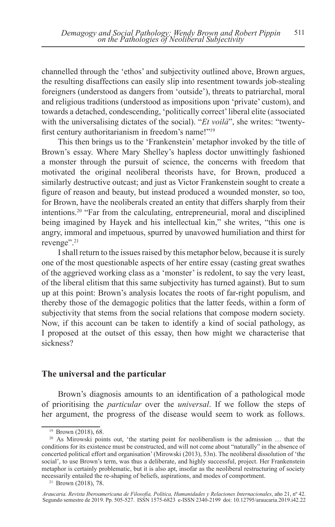channelled through the 'ethos' and subjectivity outlined above, Brown argues, the resulting disaffections can easily slip into resentment towards job-stealing foreigners (understood as dangers from 'outside'), threats to patriarchal, moral and religious traditions (understood as impositions upon 'private' custom), and towards a detached, condescending, 'politically correct' liberal elite (associated with the universalising dictates of the social). "*Et voilà*", she writes: "twentyfirst century authoritarianism in freedom's name!"<sup>19</sup>

This then brings us to the 'Frankenstein' metaphor invoked by the title of Brown's essay. Where Mary Shelley's hapless doctor unwittingly fashioned a monster through the pursuit of science, the concerns with freedom that motivated the original neoliberal theorists have, for Brown, produced a similarly destructive outcast; and just as Victor Frankenstein sought to create a figure of reason and beauty, but instead produced a wounded monster, so too, for Brown, have the neoliberals created an entity that differs sharply from their intentions.20 "Far from the calculating, entrepreneurial, moral and disciplined being imagined by Hayek and his intellectual kin," she writes, "this one is angry, immoral and impetuous, spurred by unavowed humiliation and thirst for revenge".21

I shall return to the issues raised by this metaphor below, because it is surely one of the most questionable aspects of her entire essay (casting great swathes of the aggrieved working class as a 'monster' is redolent, to say the very least, of the liberal elitism that this same subjectivity has turned against). But to sum up at this point: Brown's analysis locates the roots of far-right populism, and thereby those of the demagogic politics that the latter feeds, within a form of subjectivity that stems from the social relations that compose modern society. Now, if this account can be taken to identify a kind of social pathology, as I proposed at the outset of this essay, then how might we characterise that sickness?

### **The universal and the particular**

Brown's diagnosis amounts to an identification of a pathological mode of prioritising the *particular* over the *universal*. If we follow the steps of her argument, the progress of the disease would seem to work as follows.

<sup>19</sup> Brown (2018), 68.

<sup>&</sup>lt;sup>20</sup> As Mirowski points out, 'the starting point for neoliberalism is the admission ... that the conditions for its existence must be constructed, and will not come about "naturally" in the absence of concerted political effort and organisation' (Mirowski (2013), 53n). The neoliberal dissolution of 'the social', to use Brown's term, was thus a deliberate, and highly successful, project. Her Frankenstein metaphor is certainly problematic, but it is also apt, insofar as the neoliberal restructuring of society necessarily entailed the re-shaping of beliefs, aspirations, and modes of comportment.

<sup>21</sup> Brown (2018), 78.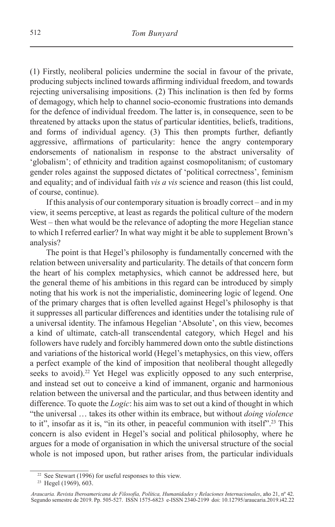(1) Firstly, neoliberal policies undermine the social in favour of the private, producing subjects inclined towards affirming individual freedom, and towards rejecting universalising impositions. (2) This inclination is then fed by forms of demagogy, which help to channel socio-economic frustrations into demands for the defence of individual freedom. The latter is, in consequence, seen to be threatened by attacks upon the status of particular identities, beliefs, traditions, and forms of individual agency. (3) This then prompts further, defiantly aggressive, affirmations of particularity: hence the angry contemporary endorsements of nationalism in response to the abstract universality of 'globalism'; of ethnicity and tradition against cosmopolitanism; of customary gender roles against the supposed dictates of 'political correctness', feminism and equality; and of individual faith *vis a vis* science and reason (this list could, of course, continue).

If this analysis of our contemporary situation is broadly correct – and in my view, it seems perceptive, at least as regards the political culture of the modern West – then what would be the relevance of adopting the more Hegelian stance to which I referred earlier? In what way might it be able to supplement Brown's analysis?

The point is that Hegel's philosophy is fundamentally concerned with the relation between universality and particularity. The details of that concern form the heart of his complex metaphysics, which cannot be addressed here, but the general theme of his ambitions in this regard can be introduced by simply noting that his work is not the imperialistic, domineering logic of legend. One of the primary charges that is often levelled against Hegel's philosophy is that it suppresses all particular differences and identities under the totalising rule of a universal identity. The infamous Hegelian 'Absolute', on this view, becomes a kind of ultimate, catch-all transcendental category, which Hegel and his followers have rudely and forcibly hammered down onto the subtle distinctions and variations of the historical world (Hegel's metaphysics, on this view, offers a perfect example of the kind of imposition that neoliberal thought allegedly seeks to avoid).<sup>22</sup> Yet Hegel was explicitly opposed to any such enterprise, and instead set out to conceive a kind of immanent, organic and harmonious relation between the universal and the particular, and thus between identity and difference. To quote the *Logic*: his aim was to set out a kind of thought in which "the universal … takes its other within its embrace, but without *doing violence* to it", insofar as it is, "in its other, in peaceful communion with itself".<sup>23</sup> This concern is also evident in Hegel's social and political philosophy, where he argues for a mode of organisation in which the universal structure of the social whole is not imposed upon, but rather arises from, the particular individuals

<sup>22</sup> See Stewart (1996) for useful responses to this view.

<sup>23</sup> Hegel (1969), 603.

*Araucaria. Revista Iberoamericana de Filosofía, Política, Humanidades y Relaciones Internacionales*, año 21, nº 42. Segundo semestre de 2019. Pp. 505-527. ISSN 1575-6823 e-ISSN 2340-2199 doi: 10.12795/araucaria.2019.i42.22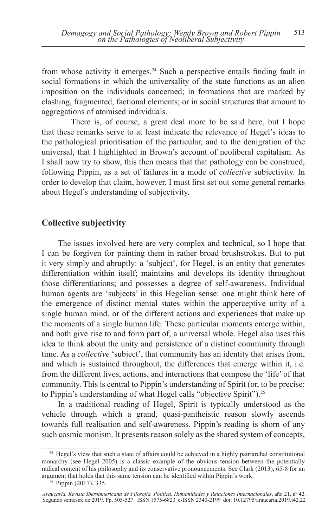from whose activity it emerges.24 Such a perspective entails finding fault in social formations in which the universality of the state functions as an alien imposition on the individuals concerned; in formations that are marked by clashing, fragmented, factional elements; or in social structures that amount to aggregations of atomised individuals.

There is, of course, a great deal more to be said here, but I hope that these remarks serve to at least indicate the relevance of Hegel's ideas to the pathological prioritisation of the particular, and to the denigration of the universal, that I highlighted in Brown's account of neoliberal capitalism. As I shall now try to show, this then means that that pathology can be construed, following Pippin, as a set of failures in a mode of *collective* subjectivity. In order to develop that claim, however, I must first set out some general remarks about Hegel's understanding of subjectivity.

# **Collective subjectivity**

The issues involved here are very complex and technical, so I hope that I can be forgiven for painting them in rather broad brushstrokes. But to put it very simply and abruptly: a 'subject', for Hegel, is an entity that generates differentiation within itself; maintains and develops its identity throughout those differentiations; and possesses a degree of self-awareness. Individual human agents are 'subjects' in this Hegelian sense: one might think here of the emergence of distinct mental states within the apperceptive unity of a single human mind, or of the different actions and experiences that make up the moments of a single human life. These particular moments emerge within, and both give rise to and form part of, a universal whole. Hegel also uses this idea to think about the unity and persistence of a distinct community through time. As a *collective* 'subject', that community has an identity that arises from, and which is sustained throughout, the differences that emerge within it, i.e. from the different lives, actions, and interactions that compose the 'life' of that community. This is central to Pippin's understanding of Spirit (or, to be precise: to Pippin's understanding of what Hegel calls "objective Spirit").25

In a traditional reading of Hegel, Spirit is typically understood as the vehicle through which a grand, quasi-pantheistic reason slowly ascends towards full realisation and self-awareness. Pippin's reading is shorn of any such cosmic monism. It presents reason solely as the shared system of concepts,

<sup>&</sup>lt;sup>24</sup> Hegel's view that such a state of affairs could be achieved in a highly patriarchal constitutional monarchy (see Hegel 2005) is a classic example of the obvious tension between the potentially radical content of his philosophy and its conservative pronouncements. See Clark (2013), 65-8 for an argument that holds that this same tension can be identified within Pippin's work.

<sup>&</sup>lt;sup>25</sup> Pippin (2017), 335.

*Araucaria. Revista Iberoamericana de Filosofía, Política, Humanidades y Relaciones Internacionales*, año 21, nº 42. Segundo semestre de 2019. Pp. 505-527. ISSN 1575-6823 e-ISSN 2340-2199 doi: 10.12795/araucaria.2019.i42.22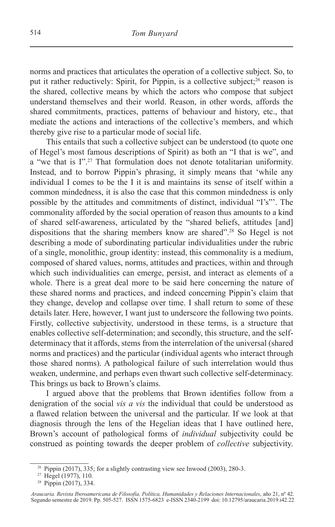norms and practices that articulates the operation of a collective subject. So, to put it rather reductively: Spirit, for Pippin, is a collective subject;<sup>26</sup> reason is the shared, collective means by which the actors who compose that subject understand themselves and their world. Reason, in other words, affords the shared commitments, practices, patterns of behaviour and history, etc., that mediate the actions and interactions of the collective's members, and which thereby give rise to a particular mode of social life.

This entails that such a collective subject can be understood (to quote one of Hegel's most famous descriptions of Spirit) as both an "I that is we", and a "we that is I".27 That formulation does not denote totalitarian uniformity. Instead, and to borrow Pippin's phrasing, it simply means that 'while any individual I comes to be the I it is and maintains its sense of itself within a common mindedness, it is also the case that this common mindedness is only possible by the attitudes and commitments of distinct, individual "I's"'. The commonality afforded by the social operation of reason thus amounts to a kind of shared self-awareness, articulated by the "shared beliefs, attitudes [and] dispositions that the sharing members know are shared".28 So Hegel is not describing a mode of subordinating particular individualities under the rubric of a single, monolithic, group identity: instead, this commonality is a medium, composed of shared values, norms, attitudes and practices, within and through which such individualities can emerge, persist, and interact as elements of a whole. There is a great deal more to be said here concerning the nature of these shared norms and practices, and indeed concerning Pippin's claim that they change, develop and collapse over time. I shall return to some of these details later. Here, however, I want just to underscore the following two points. Firstly, collective subjectivity, understood in these terms, is a structure that enables collective self-determination; and secondly, this structure, and the selfdeterminacy that it affords, stems from the interrelation of the universal (shared norms and practices) and the particular (individual agents who interact through those shared norms). A pathological failure of such interrelation would thus weaken, undermine, and perhaps even thwart such collective self-determinacy. This brings us back to Brown's claims.

I argued above that the problems that Brown identifies follow from a denigration of the social *vis a vis* the individual that could be understood as a flawed relation between the universal and the particular. If we look at that diagnosis through the lens of the Hegelian ideas that I have outlined here, Brown's account of pathological forms of *individual* subjectivity could be construed as pointing towards the deeper problem of *collective* subjectivity.

<sup>&</sup>lt;sup>26</sup> Pippin (2017), 335; for a slightly contrasting view see Inwood (2003), 280-3.<br><sup>27</sup> Hegel (1977), 110.

<sup>28</sup> Pippin (2017), 334.

*Araucaria. Revista Iberoamericana de Filosofía, Política, Humanidades y Relaciones Internacionales*, año 21, nº 42. Segundo semestre de 2019. Pp. 505-527. ISSN 1575-6823 e-ISSN 2340-2199 doi: 10.12795/araucaria.2019.i42.22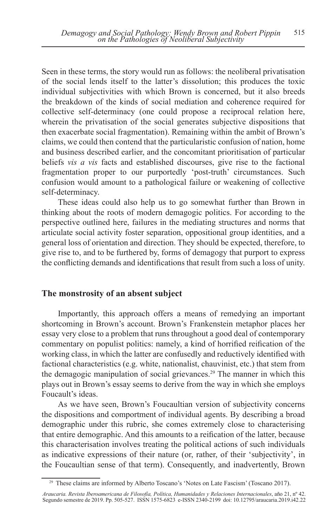Seen in these terms, the story would run as follows: the neoliberal privatisation of the social lends itself to the latter's dissolution; this produces the toxic individual subjectivities with which Brown is concerned, but it also breeds the breakdown of the kinds of social mediation and coherence required for collective self-determinacy (one could propose a reciprocal relation here, wherein the privatisation of the social generates subjective dispositions that then exacerbate social fragmentation). Remaining within the ambit of Brown's claims, we could then contend that the particularistic confusion of nation, home and business described earlier, and the concomitant prioritisation of particular beliefs *vis a vis* facts and established discourses, give rise to the factional fragmentation proper to our purportedly 'post-truth' circumstances. Such confusion would amount to a pathological failure or weakening of collective self-determinacy.

These ideas could also help us to go somewhat further than Brown in thinking about the roots of modern demagogic politics. For according to the perspective outlined here, failures in the mediating structures and norms that articulate social activity foster separation, oppositional group identities, and a general loss of orientation and direction. They should be expected, therefore, to give rise to, and to be furthered by, forms of demagogy that purport to express the conflicting demands and identifications that result from such a loss of unity.

### **The monstrosity of an absent subject**

Importantly, this approach offers a means of remedying an important shortcoming in Brown's account. Brown's Frankenstein metaphor places her essay very close to a problem that runs throughout a good deal of contemporary commentary on populist politics: namely, a kind of horrified reification of the working class, in which the latter are confusedly and reductively identified with factional characteristics (e.g. white, nationalist, chauvinist, etc.) that stem from the demagogic manipulation of social grievances.29 The manner in which this plays out in Brown's essay seems to derive from the way in which she employs Foucault's ideas.

As we have seen, Brown's Foucaultian version of subjectivity concerns the dispositions and comportment of individual agents. By describing a broad demographic under this rubric, she comes extremely close to characterising that entire demographic. And this amounts to a reification of the latter, because this characterisation involves treating the political actions of such individuals as indicative expressions of their nature (or, rather, of their 'subjectivity', in the Foucaultian sense of that term). Consequently, and inadvertently, Brown

<sup>29</sup> These claims are informed by Alberto Toscano's 'Notes on Late Fascism' (Toscano 2017).

*Araucaria. Revista Iberoamericana de Filosofía, Política, Humanidades y Relaciones Internacionales*, año 21, nº 42. Segundo semestre de 2019. Pp. 505-527. ISSN 1575-6823 e-ISSN 2340-2199 doi: 10.12795/araucaria.2019.i42.22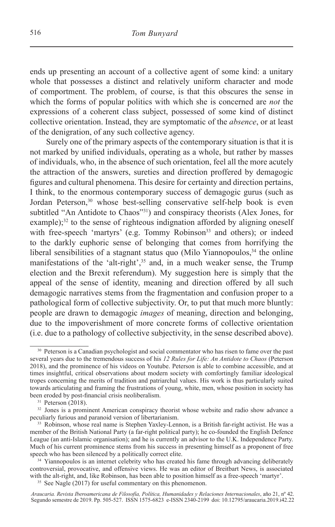ends up presenting an account of a collective agent of some kind: a unitary whole that possesses a distinct and relatively uniform character and mode of comportment. The problem, of course, is that this obscures the sense in which the forms of popular politics with which she is concerned are *not* the expressions of a coherent class subject, possessed of some kind of distinct collective orientation. Instead, they are symptomatic of the *absence*, or at least of the denigration, of any such collective agency.

Surely one of the primary aspects of the contemporary situation is that it is not marked by unified individuals, operating as a whole, but rather by masses of individuals, who, in the absence of such orientation, feel all the more acutely the attraction of the answers, sureties and direction proffered by demagogic figures and cultural phenomena. This desire for certainty and direction pertains, I think, to the enormous contemporary success of demagogic gurus (such as Jordan Peterson,<sup>30</sup> whose best-selling conservative self-help book is even subtitled "An Antidote to Chaos"<sup>31</sup>) and conspiracy theorists (Alex Jones, for example); $32$  to the sense of righteous indignation afforded by aligning oneself with free-speech 'martyrs' (e.g. Tommy Robinson<sup>33</sup> and others); or indeed to the darkly euphoric sense of belonging that comes from horrifying the liberal sensibilities of a stagnant status quo (Milo Yiannopoulos,  $34$  the online manifestations of the 'alt-right',<sup>35</sup> and, in a much weaker sense, the Trump election and the Brexit referendum). My suggestion here is simply that the appeal of the sense of identity, meaning and direction offered by all such demagogic narratives stems from the fragmentation and confusion proper to a pathological form of collective subjectivity. Or, to put that much more bluntly: people are drawn to demagogic *images* of meaning, direction and belonging, due to the impoverishment of more concrete forms of collective orientation (i.e. due to a pathology of collective subjectivity, in the sense described above).

<sup>&</sup>lt;sup>30</sup> Peterson is a Canadian psychologist and social commentator who has risen to fame over the past several years due to the tremendous success of his *12 Rules for Life: An Antidote to Chaos* (Peterson 2018), and the prominence of his videos on Youtube. Peterson is able to combine accessible, and at times insightful, critical observations about modern society with comfortingly familiar ideological tropes concerning the merits of tradition and patriarchal values. His work is thus particularly suited towards articulating and framing the frustrations of young, white, men, whose position in society has been eroded by post-financial crisis neoliberalism.

 $31$  Peterson (2018).

 $32$  Jones is a prominent American conspiracy theorist whose website and radio show advance a peculiarly furious and paranoid version of libertarianism.

<sup>&</sup>lt;sup>33</sup> Robinson, whose real name is Stephen Yaxley-Lennon, is a British far-right activist. He was a member of the British National Party (a far-right political party); he co-founded the English Defence League (an anti-Islamic organisation); and he is currently an advisor to the U.K. Independence Party. Much of his current prominence stems from his success in presenting himself as a proponent of free speech who has been silenced by a politically correct elite.

<sup>&</sup>lt;sup>34</sup> Yiannopoulos is an internet celebrity who has created his fame through advancing deliberately controversial, provocative, and offensive views. He was an editor of Breitbart News, is associated with the alt-right, and, like Robinson, has been able to position himself as a free-speech 'martyr'.

<sup>&</sup>lt;sup>35</sup> See Nagle (2017) for useful commentary on this phenomenon.

*Araucaria. Revista Iberoamericana de Filosofía, Política, Humanidades y Relaciones Internacionales*, año 21, nº 42. Segundo semestre de 2019. Pp. 505-527. ISSN 1575-6823 e-ISSN 2340-2199 doi: 10.12795/araucaria.2019.i42.22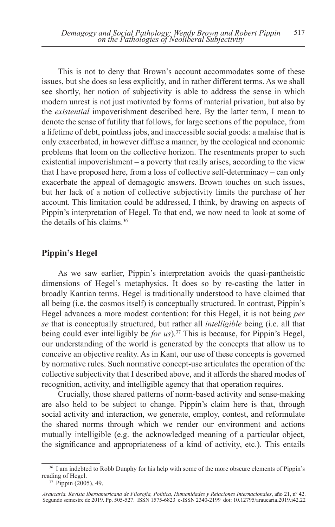This is not to deny that Brown's account accommodates some of these issues, but she does so less explicitly, and in rather different terms. As we shall see shortly, her notion of subjectivity is able to address the sense in which modern unrest is not just motivated by forms of material privation, but also by the *existential* impoverishment described here. By the latter term, I mean to denote the sense of futility that follows, for large sections of the populace, from a lifetime of debt, pointless jobs, and inaccessible social goods: a malaise that is only exacerbated, in however diffuse a manner, by the ecological and economic problems that loom on the collective horizon. The resentments proper to such existential impoverishment – a poverty that really arises, according to the view that I have proposed here, from a loss of collective self-determinacy – can only exacerbate the appeal of demagogic answers. Brown touches on such issues, but her lack of a notion of collective subjectivity limits the purchase of her account. This limitation could be addressed, I think, by drawing on aspects of Pippin's interpretation of Hegel. To that end, we now need to look at some of the details of his claims.36

# **Pippin's Hegel**

As we saw earlier, Pippin's interpretation avoids the quasi-pantheistic dimensions of Hegel's metaphysics. It does so by re-casting the latter in broadly Kantian terms. Hegel is traditionally understood to have claimed that all being (i.e. the cosmos itself) is conceptually structured. In contrast, Pippin's Hegel advances a more modest contention: for this Hegel, it is not being *per se* that is conceptually structured, but rather all *intelligible* being (i.e. all that being could ever intelligibly be *for us*).37 This is because, for Pippin's Hegel, our understanding of the world is generated by the concepts that allow us to conceive an objective reality. As in Kant, our use of these concepts is governed by normative rules. Such normative concept-use articulates the operation of the collective subjectivity that I described above, and it affords the shared modes of recognition, activity, and intelligible agency that that operation requires.

Crucially, those shared patterns of norm-based activity and sense-making are also held to be subject to change. Pippin's claim here is that, through social activity and interaction, we generate, employ, contest, and reformulate the shared norms through which we render our environment and actions mutually intelligible (e.g. the acknowledged meaning of a particular object, the significance and appropriateness of a kind of activity, etc.). This entails

<sup>&</sup>lt;sup>36</sup> I am indebted to Robb Dunphy for his help with some of the more obscure elements of Pippin's reading of Hegel.

 $37$  Pippin (2005), 49.

*Araucaria. Revista Iberoamericana de Filosofía, Política, Humanidades y Relaciones Internacionales*, año 21, nº 42. Segundo semestre de 2019. Pp. 505-527. ISSN 1575-6823 e-ISSN 2340-2199 doi: 10.12795/araucaria.2019.i42.22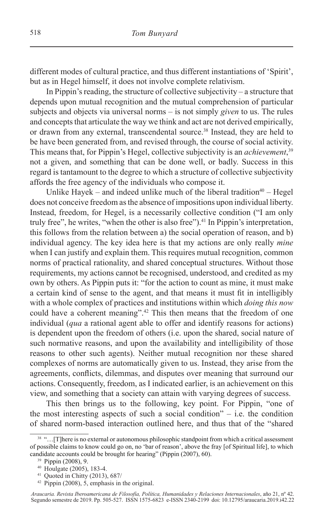different modes of cultural practice, and thus different instantiations of 'Spirit', but as in Hegel himself, it does not involve complete relativism.

In Pippin's reading, the structure of collective subjectivity – a structure that depends upon mutual recognition and the mutual comprehension of particular subjects and objects via universal norms – is not simply *given* to us. The rules and concepts that articulate the way we think and act are not derived empirically, or drawn from any external, transcendental source.38 Instead, they are held to be have been generated from, and revised through, the course of social activity. This means that, for Pippin's Hegel, collective subjectivity is an *achievement*, 39 not a given, and something that can be done well, or badly. Success in this regard is tantamount to the degree to which a structure of collective subjectivity affords the free agency of the individuals who compose it.

Unlike Hayek – and indeed unlike much of the liberal tradition<sup>40</sup> – Hegel does not conceive freedom as the absence of impositions upon individual liberty. Instead, freedom, for Hegel, is a necessarily collective condition ("I am only truly free", he writes, "when the other is also free"). $41$  In Pippin's interpretation, this follows from the relation between a) the social operation of reason, and b) individual agency. The key idea here is that my actions are only really *mine* when I can justify and explain them. This requires mutual recognition, common norms of practical rationality, and shared conceptual structures. Without those requirements, my actions cannot be recognised, understood, and credited as my own by others. As Pippin puts it: "for the action to count as mine, it must make a certain kind of sense to the agent, and that means it must fit in intelligibly with a whole complex of practices and institutions within which *doing this now* could have a coherent meaning".<sup>42</sup> This then means that the freedom of one individual (*qua* a rational agent able to offer and identify reasons for actions) is dependent upon the freedom of others (i.e. upon the shared, social nature of such normative reasons, and upon the availability and intelligibility of those reasons to other such agents). Neither mutual recognition nor these shared complexes of norms are automatically given to us. Instead, they arise from the agreements, conflicts, dilemmas, and disputes over meaning that surround our actions. Consequently, freedom, as I indicated earlier, is an achievement on this view, and something that a society can attain with varying degrees of success.

This then brings us to the following, key point. For Pippin, "one of the most interesting aspects of such a social condition"  $-$  i.e. the condition of shared norm-based interaction outlined here, and thus that of the "shared

<sup>38</sup> "…[T]here is no external or autonomous philosophic standpoint from which a critical assessment of possible claims to know could go on, no 'bar of reason', above the fray [of Spiritual life], to which candidate accounts could be brought for hearing" (Pippin (2007), 60). 39 Pippin (2008), 9.

<sup>40</sup> Houlgate (2005), 183-4.

<sup>41</sup> Quoted in Chitty (2013), 687/

<sup>42</sup> Pippin (2008), 5, emphasis in the original.

*Araucaria. Revista Iberoamericana de Filosofía, Política, Humanidades y Relaciones Internacionales*, año 21, nº 42. Segundo semestre de 2019. Pp. 505-527. ISSN 1575-6823 e-ISSN 2340-2199 doi: 10.12795/araucaria.2019.i42.22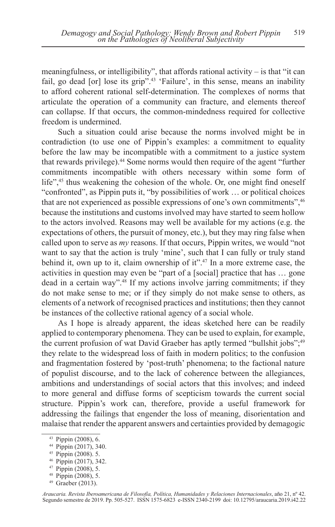meaningfulness, or intelligibility", that affords rational activity  $-$  is that "it can fail, go dead [or] lose its grip".43 'Failure', in this sense, means an inability to afford coherent rational self-determination. The complexes of norms that articulate the operation of a community can fracture, and elements thereof can collapse. If that occurs, the common-mindedness required for collective freedom is undermined.

Such a situation could arise because the norms involved might be in contradiction (to use one of Pippin's examples: a commitment to equality before the law may be incompatible with a commitment to a justice system that rewards privilege).<sup>44</sup> Some norms would then require of the agent "further commitments incompatible with others necessary within some form of life",<sup>45</sup> thus weakening the cohesion of the whole. Or, one might find oneself "confronted", as Pippin puts it, "by possibilities of work … or political choices that are not experienced as possible expressions of one's own commitments",<sup>46</sup> because the institutions and customs involved may have started to seem hollow to the actors involved. Reasons may well be available for my actions (e.g. the expectations of others, the pursuit of money, etc.), but they may ring false when called upon to serve as *my* reasons. If that occurs, Pippin writes, we would "not want to say that the action is truly 'mine', such that I can fully or truly stand behind it, own up to it, claim ownership of it".47 In a more extreme case, the activities in question may even be "part of a [social] practice that has … gone dead in a certain way".48 If my actions involve jarring commitments; if they do not make sense to me; or if they simply do not make sense to others, as elements of a network of recognised practices and institutions; then they cannot be instances of the collective rational agency of a social whole.

As I hope is already apparent, the ideas sketched here can be readily applied to contemporary phenomena. They can be used to explain, for example, the current profusion of wat David Graeber has aptly termed "bullshit jobs";<sup>49</sup> they relate to the widespread loss of faith in modern politics; to the confusion and fragmentation fostered by 'post-truth' phenomena; to the factional nature of populist discourse, and to the lack of coherence between the allegiances, ambitions and understandings of social actors that this involves; and indeed to more general and diffuse forms of scepticism towards the current social structure. Pippin's work can, therefore, provide a useful framework for addressing the failings that engender the loss of meaning, disorientation and malaise that render the apparent answers and certainties provided by demagogic

<sup>43</sup> Pippin (2008), 6.

<sup>44</sup> Pippin (2017), 340.

<sup>45</sup> Pippin (2008). 5.

<sup>46</sup> Pippin (2017), 342.

<sup>47</sup> Pippin (2008), 5.

<sup>48</sup> Pippin (2008), 5.

<sup>49</sup> Graeber (2013).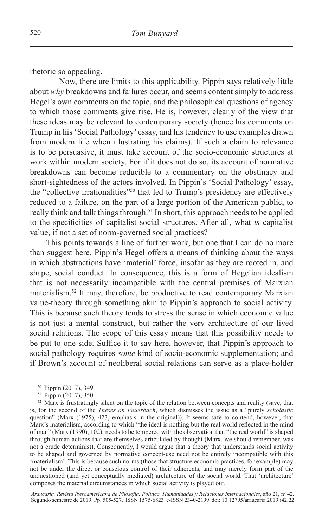rhetoric so appealing.

Now, there are limits to this applicability. Pippin says relatively little about *why* breakdowns and failures occur, and seems content simply to address Hegel's own comments on the topic, and the philosophical questions of agency to which those comments give rise. He is, however, clearly of the view that these ideas may be relevant to contemporary society (hence his comments on Trump in his 'Social Pathology' essay, and his tendency to use examples drawn from modern life when illustrating his claims). If such a claim to relevance is to be persuasive, it must take account of the socio-economic structures at work within modern society. For if it does not do so, its account of normative breakdowns can become reducible to a commentary on the obstinacy and short-sightedness of the actors involved. In Pippin's 'Social Pathology' essay, the "collective irrationalities"50 that led to Trump's presidency are effectively reduced to a failure, on the part of a large portion of the American public, to really think and talk things through.<sup>51</sup> In short, this approach needs to be applied to the specificities of capitalist social structures. After all, what *is* capitalist value, if not a set of norm-governed social practices?

This points towards a line of further work, but one that I can do no more than suggest here. Pippin's Hegel offers a means of thinking about the ways in which abstractions have 'material' force, insofar as they are rooted in, and shape, social conduct. In consequence, this is a form of Hegelian idealism that is not necessarily incompatible with the central premises of Marxian materialism.52 It may, therefore, be productive to read contemporary Marxian value-theory through something akin to Pippin's approach to social activity. This is because such theory tends to stress the sense in which economic value is not just a mental construct, but rather the very architecture of our lived social relations. The scope of this essay means that this possibility needs to be put to one side. Suffice it to say here, however, that Pippin's approach to social pathology requires *some* kind of socio-economic supplementation; and if Brown's account of neoliberal social relations can serve as a place-holder

<sup>&</sup>lt;sup>50</sup> Pippin (2017), 349.

<sup>51</sup> Pippin (2017), 350.

<sup>&</sup>lt;sup>52</sup> Marx is frustratingly silent on the topic of the relation between concepts and reality (save, that is, for the second of the *Theses on Feuerbach*, which dismisses the issue as a "purely *scholastic* question" (Marx (1975), 423, emphasis in the original)). It seems safe to contend, however, that Marx's materialism, according to which "the ideal is nothing but the real world reflected in the mind of man" (Marx (1990), 102), needs to be tempered with the observation that "the real world" is shaped through human actions that are themselves articulated by thought (Marx, we should remember, was not a crude determinist). Consequently, I would argue that a theory that understands social activity to be shaped and governed by normative concept-use need not be entirely incompatible with this 'materialism'. This is because such norms (those that structure economic practices, for example) may not be under the direct or conscious control of their adherents, and may merely form part of the unquestioned (and yet conceptually mediated) architecture of the social world. That 'architecture' composes the material circumstances in which social activity is played out.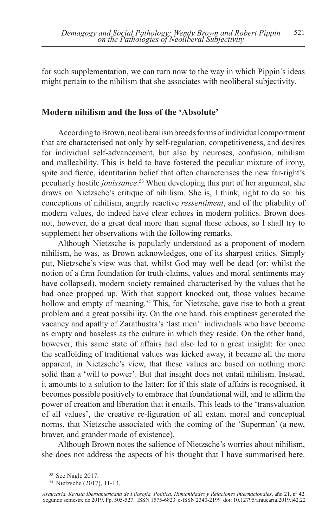for such supplementation, we can turn now to the way in which Pippin's ideas might pertain to the nihilism that she associates with neoliberal subjectivity.

## **Modern nihilism and the loss of the 'Absolute'**

According to Brown, neoliberalism breeds forms of individual comportment that are characterised not only by self-regulation, competitiveness, and desires for individual self-advancement, but also by neuroses, confusion, nihilism and malleability. This is held to have fostered the peculiar mixture of irony, spite and fierce, identitarian belief that often characterises the new far-right's peculiarly hostile *jouissance*. 53 When developing this part of her argument, she draws on Nietzsche's critique of nihilism. She is, I think, right to do so: his conceptions of nihilism, angrily reactive *ressentiment*, and of the pliability of modern values, do indeed have clear echoes in modern politics. Brown does not, however, do a great deal more than signal these echoes, so I shall try to supplement her observations with the following remarks.

Although Nietzsche is popularly understood as a proponent of modern nihilism, he was, as Brown acknowledges, one of its sharpest critics. Simply put, Nietzsche's view was that, whilst God may well be dead (or: whilst the notion of a firm foundation for truth-claims, values and moral sentiments may have collapsed), modern society remained characterised by the values that he had once propped up. With that support knocked out, those values became hollow and empty of meaning.<sup>54</sup> This, for Nietzsche, gave rise to both a great problem and a great possibility. On the one hand, this emptiness generated the vacancy and apathy of Zarathustra's 'last men': individuals who have become as empty and baseless as the culture in which they reside. On the other hand, however, this same state of affairs had also led to a great insight: for once the scaffolding of traditional values was kicked away, it became all the more apparent, in Nietzsche's view, that these values are based on nothing more solid than a 'will to power'. But that insight does not entail nihilism. Instead, it amounts to a solution to the latter: for if this state of affairs is recognised, it becomes possible positively to embrace that foundational will, and to affirm the power of creation and liberation that it entails. This leads to the 'transvaluation of all values', the creative re-figuration of all extant moral and conceptual norms, that Nietzsche associated with the coming of the 'Superman' (a new, braver, and grander mode of existence).

Although Brown notes the salience of Nietzsche's worries about nihilism, she does not address the aspects of his thought that I have summarised here.

<sup>53</sup> See Nagle 2017.

<sup>54</sup> Nietzsche (2017), 11-13.

*Araucaria. Revista Iberoamericana de Filosofía, Política, Humanidades y Relaciones Internacionales*, año 21, nº 42. Segundo semestre de 2019. Pp. 505-527. ISSN 1575-6823 e-ISSN 2340-2199 doi: 10.12795/araucaria.2019.i42.22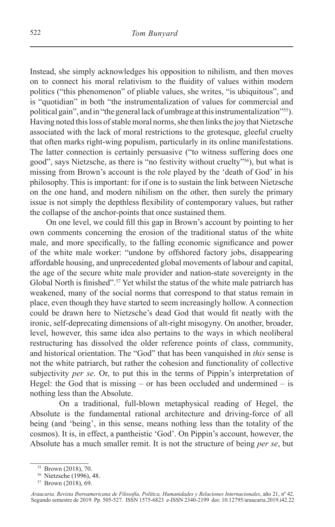Instead, she simply acknowledges his opposition to nihilism, and then moves on to connect his moral relativism to the fluidity of values within modern politics ("this phenomenon" of pliable values, she writes, "is ubiquitous", and is "quotidian" in both "the instrumentalization of values for commercial and political gain", and in "the general lack of umbrage at this instrumentalization"55). Having noted this loss of stable moral norms, she then links the joy that Nietzsche associated with the lack of moral restrictions to the grotesque, gleeful cruelty that often marks right-wing populism, particularly in its online manifestations. The latter connection is certainly persuasive ("to witness suffering does one good", says Nietzsche, as there is "no festivity without cruelty"56), but what is missing from Brown's account is the role played by the 'death of God' in his philosophy. This is important: for if one is to sustain the link between Nietzsche on the one hand, and modern nihilism on the other, then surely the primary issue is not simply the depthless flexibility of contemporary values, but rather the collapse of the anchor-points that once sustained them.

On one level, we could fill this gap in Brown's account by pointing to her own comments concerning the erosion of the traditional status of the white male, and more specifically, to the falling economic significance and power of the white male worker: "undone by offshored factory jobs, disappearing affordable housing, and unprecedented global movements of labour and capital, the age of the secure white male provider and nation-state sovereignty in the Global North is finished".<sup>57</sup> Yet whilst the status of the white male patriarch has weakened, many of the social norms that correspond to that status remain in place, even though they have started to seem increasingly hollow. A connection could be drawn here to Nietzsche's dead God that would fit neatly with the ironic, self-deprecating dimensions of alt-right misogyny. On another, broader, level, however, this same idea also pertains to the ways in which neoliberal restructuring has dissolved the older reference points of class, community, and historical orientation. The "God" that has been vanquished in *this* sense is not the white patriarch, but rather the cohesion and functionality of collective subjectivity *per se*. Or, to put this in the terms of Pippin's interpretation of Hegel: the God that is missing – or has been occluded and undermined – is nothing less than the Absolute.

On a traditional, full-blown metaphysical reading of Hegel, the Absolute is the fundamental rational architecture and driving-force of all being (and 'being', in this sense, means nothing less than the totality of the cosmos). It is, in effect, a pantheistic 'God'. On Pippin's account, however, the Absolute has a much smaller remit. It is not the structure of being *per se*, but

<sup>55</sup> Brown (2018), 70.

<sup>56</sup> Nietzsche (1996), 48.

<sup>57</sup> Brown (2018), 69.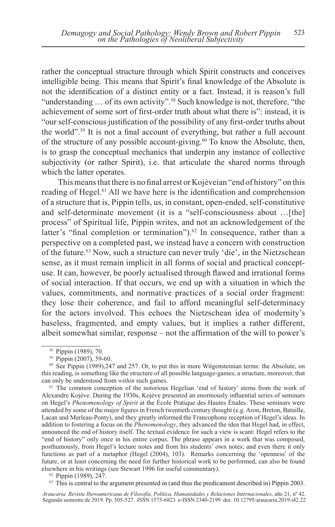rather the conceptual structure through which Spirit constructs and conceives intelligible being. This means that Spirit's final knowledge of the Absolute is not the identification of a distinct entity or a fact. Instead, it is reason's full "understanding … of its own activity".58 Such knowledge is not, therefore, "the achievement of some sort of first-order truth about what there is": instead, it is "our self-conscious justification of the possibility of any first-order truths about the world".59 It is not a final account of everything, but rather a full account of the structure of any possible account-giving.<sup>60</sup> To know the Absolute, then, is to grasp the conceptual mechanics that underpin any instance of collective subjectivity (or rather Spirit), i.e. that articulate the shared norms through which the latter operates.

This means that there is no final arrest or Kojèveian "end of history" on this reading of Hegel.<sup>61</sup> All we have here is the identification and comprehension of a structure that is, Pippin tells, us, in constant, open-ended, self-constitutive and self-determinate movement (it is a "self-consciousness about …[the] process" of Spiritual life, Pippin writes, and not an acknowledgement of the latter's "final completion or termination").<sup>62</sup> In consequence, rather than a perspective on a completed past, we instead have a concern with construction of the future.63 Now, such a structure can never truly 'die', in the Nietzschean sense, as it must remain implicit in all forms of social and practical conceptuse. It can, however, be poorly actualised through flawed and irrational forms of social interaction. If that occurs, we end up with a situation in which the values, commitments, and normative practices of a social order fragment: they lose their coherence, and fail to afford meaningful self-determinacy for the actors involved. This echoes the Nietzschean idea of modernity's baseless, fragmented, and empty values, but it implies a rather different, albeit somewhat similar, response – not the affirmation of the will to power's

<sup>61</sup> The common conception of the notorious Hegelian 'end of history' stems from the work of Alexandre Kojève. During the 1930s, Kojève presented an enormously influential series of seminars on Hegel's *Phenomenology of Spirit* at the École Pratique des Hautes Études. These seminars were attended by some of the major figures in French twentieth century thought (e.g. Aron, Breton, Bataille, Lacan and Merleau-Ponty), and they greatly informed the Francophone reception of Hegel's ideas. In addition to fostering a focus on the *Phenomenology*, they advanced the idea that Hegel had, in effect, announced the end of history itself. The textual evidence for such a view is scant: Hegel refers to the "end of history" only once in his entire corpus. The phrase appears in a work that was composed, posthumously, from Hegel's lecture notes and from his students' own notes; and even there it only functions as part of a metaphor (Hegel (2004), 103). Remarks concerning the 'openness' of the future, or at least concerning the need for further historical work to be performed, can also be found elsewhere in his writings (see Stewart 1996 for useful commentary). 62 Pippin (1989), 247.

<sup>63</sup> This is central to the argument presented in (and thus the predicament described in) Pippin 2003.

*Araucaria. Revista Iberoamericana de Filosofía, Política, Humanidades y Relaciones Internacionales*, año 21, nº 42. Segundo semestre de 2019. Pp. 505-527. ISSN 1575-6823 e-ISSN 2340-2199 doi: 10.12795/araucaria.2019.i42.22

<sup>58</sup> Pippin (1989), 70.

<sup>59</sup> Pippin (2007), 59-60.

<sup>&</sup>lt;sup>60</sup> See Pippin (1989), 247 and 257. Or, to put this in more Witgensteinian terms: the Absolute, on this reading, is something like the structure of all possible language-games; a structure, moreover, that can only be understood from *within* such games.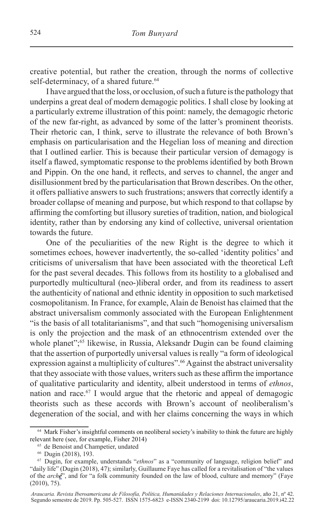creative potential, but rather the creation, through the norms of collective self-determinacy, of a shared future.<sup>64</sup>

I have argued that the loss, or occlusion, of such a future is the pathology that underpins a great deal of modern demagogic politics. I shall close by looking at a particularly extreme illustration of this point: namely, the demagogic rhetoric of the new far-right, as advanced by some of the latter's prominent theorists. Their rhetoric can, I think, serve to illustrate the relevance of both Brown's emphasis on particularisation and the Hegelian loss of meaning and direction that I outlined earlier. This is because their particular version of demagogy is itself a flawed, symptomatic response to the problems identified by both Brown and Pippin. On the one hand, it reflects, and serves to channel, the anger and disillusionment bred by the particularisation that Brown describes. On the other, it offers palliative answers to such frustrations; answers that correctly identify a broader collapse of meaning and purpose, but which respond to that collapse by affirming the comforting but illusory sureties of tradition, nation, and biological identity, rather than by endorsing any kind of collective, universal orientation towards the future.

One of the peculiarities of the new Right is the degree to which it sometimes echoes, however inadvertently, the so-called 'identity politics' and criticisms of universalism that have been associated with the theoretical Left for the past several decades. This follows from its hostility to a globalised and purportedly multicultural (neo-)liberal order, and from its readiness to assert the authenticity of national and ethnic identity in opposition to such marketised cosmopolitanism. In France, for example, Alain de Benoist has claimed that the abstract universalism commonly associated with the European Enlightenment "is the basis of all totalitarianisms", and that such "homogenising universalism is only the projection and the mask of an ethnocentrism extended over the whole planet";<sup>65</sup> likewise, in Russia, Aleksandr Dugin can be found claiming that the assertion of purportedly universal values is really "a form of ideological expression against a multiplicity of cultures".<sup>66</sup> Against the abstract universality that they associate with those values, writers such as these affirm the importance of qualitative particularity and identity, albeit understood in terms of *ethnos*, nation and race.67 I would argue that the rhetoric and appeal of demagogic theorists such as these accords with Brown's account of neoliberalism's degeneration of the social, and with her claims concerning the ways in which

<sup>&</sup>lt;sup>64</sup> Mark Fisher's insightful comments on neoliberal society's inability to think the future are highly relevant here (see, for example, Fisher 2014)

<sup>65</sup> de Benoist and Champetier, undated 66 Dugin (2018), 193.

<sup>67</sup> Dugin, for example, understands "*ethnos*" as a "community of language, religion belief" and "daily life" (Dugin (2018), 47); similarly, Guillaume Faye has called for a revitalisation of "the values of the *arché*", and for "a folk community founded on the law of blood, culture and memory" (Faye (2010), 75).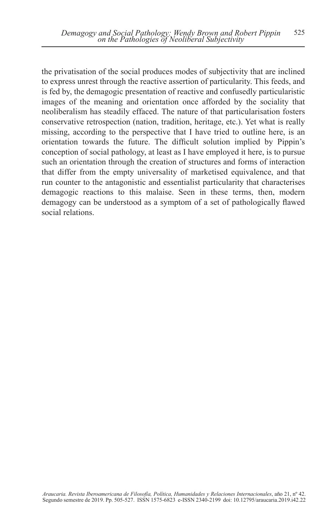the privatisation of the social produces modes of subjectivity that are inclined to express unrest through the reactive assertion of particularity. This feeds, and is fed by, the demagogic presentation of reactive and confusedly particularistic images of the meaning and orientation once afforded by the sociality that neoliberalism has steadily effaced. The nature of that particularisation fosters conservative retrospection (nation, tradition, heritage, etc.). Yet what is really missing, according to the perspective that I have tried to outline here, is an orientation towards the future. The difficult solution implied by Pippin's conception of social pathology, at least as I have employed it here, is to pursue such an orientation through the creation of structures and forms of interaction that differ from the empty universality of marketised equivalence, and that run counter to the antagonistic and essentialist particularity that characterises demagogic reactions to this malaise. Seen in these terms, then, modern demagogy can be understood as a symptom of a set of pathologically flawed social relations.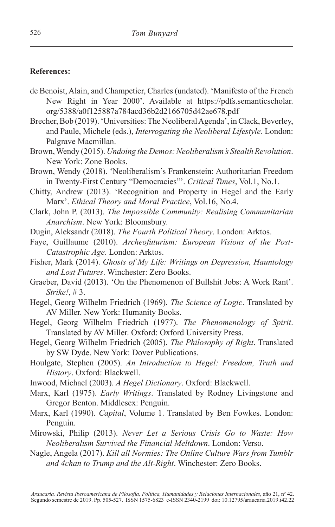### **References:**

- de Benoist, Alain, and Champetier, Charles (undated). 'Manifesto of the French New Right in Year 2000'. Available at https://pdfs.semanticscholar. org/5388/a0f125887a784acd36b2d2166705d42ae678.pdf
- Brecher, Bob (2019). 'Universities: The Neoliberal Agenda', in Clack, Beverley, and Paule, Michele (eds.), *Interrogating the Neoliberal Lifestyle*. London: Palgrave Macmillan.
- Brown, Wendy (2015). *Undoing the Demos: Neoliberalism's Stealth Revolution*. New York: Zone Books.
- Brown, Wendy (2018). 'Neoliberalism's Frankenstein: Authoritarian Freedom in Twenty-First Century "Democracies"'. *Critical Times*, Vol.1, No.1.
- Chitty, Andrew (2013). 'Recognition and Property in Hegel and the Early Marx'. *Ethical Theory and Moral Practice*, Vol.16, No.4.
- Clark, John P. (2013). *The Impossible Community: Realising Communitarian Anarchism*. New York: Bloomsbury.
- Dugin, Aleksandr (2018). *The Fourth Political Theory*. London: Arktos.
- Faye, Guillaume (2010). *Archeofuturism: European Visions of the Post-Catastrophic Age*. London: Arktos.
- Fisher, Mark (2014). *Ghosts of My Life: Writings on Depression, Hauntology and Lost Futures*. Winchester: Zero Books.
- Graeber, David (2013). 'On the Phenomenon of Bullshit Jobs: A Work Rant'. *Strike!*, # 3.
- Hegel, Georg Wilhelm Friedrich (1969). *The Science of Logic*. Translated by AV Miller. New York: Humanity Books.
- Hegel, Georg Wilhelm Friedrich (1977). *The Phenomenology of Spirit*. Translated by AV Miller. Oxford: Oxford University Press.
- Hegel, Georg Wilhelm Friedrich (2005). *The Philosophy of Right*. Translated by SW Dyde. New York: Dover Publications.
- Houlgate, Stephen (2005). *An Introduction to Hegel: Freedom, Truth and History*. Oxford: Blackwell.
- Inwood, Michael (2003). *A Hegel Dictionary*. Oxford: Blackwell.
- Marx, Karl (1975). *Early Writings*. Translated by Rodney Livingstone and Gregor Benton. Middlesex: Penguin.
- Marx, Karl (1990). *Capital*, Volume 1. Translated by Ben Fowkes. London: Penguin.
- Mirowski, Philip (2013). *Never Let a Serious Crisis Go to Waste: How Neoliberalism Survived the Financial Meltdown*. London: Verso.
- Nagle, Angela (2017). *Kill all Normies: The Online Culture Wars from Tumblr and 4chan to Trump and the Alt-Right*. Winchester: Zero Books.